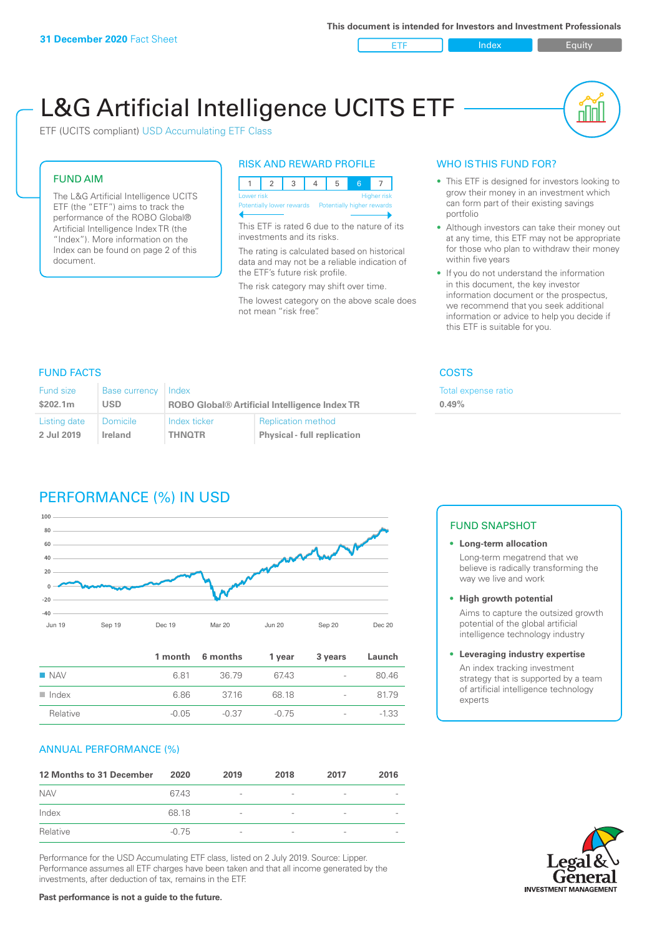ETF Index Buity

nN

# L&G Artificial Intelligence UCITS ETF

ETF (UCITS compliant) USD Accumulating ETF Class

#### FUND AIM

The L&G Artificial Intelligence UCITS ETF (the "ETF") aims to track the performance of the ROBO Global® Artificial Intelligence Index TR (the "Index"). More information on the Index can be found on page 2 of this document.

#### RISK AND REWARD PROFILE



This ETF is rated 6 due to the nature of its investments and its risks.

The rating is calculated based on historical data and may not be a reliable indication of the ETF's future risk profile.

The risk category may shift over time. The lowest category on the above scale does not mean "risk free".

#### WHO IS THIS FUND FOR?

- This ETF is designed for investors looking to grow their money in an investment which can form part of their existing savings portfolio
- Although investors can take their money out at any time, this ETF may not be appropriate for those who plan to withdraw their money within five years
- If you do not understand the information in this document, the key investor information document or the prospectus, we recommend that you seek additional information or advice to help you decide if this ETF is suitable for you.

**0.49%**

Total expense ratio

### FUND FACTS COSTS

| Fund size<br>\$202.1m | <b>Base currency</b><br><b>USD</b> | Index<br><b>ROBO Global® Artificial Intelligence Index TR</b> |                                    |  |
|-----------------------|------------------------------------|---------------------------------------------------------------|------------------------------------|--|
|                       |                                    |                                                               |                                    |  |
| Listing date          | Domicile                           | Index ticker                                                  | <b>Replication method</b>          |  |
| 2 Jul 2019            | Ireland                            | <b>THNOTR</b>                                                 | <b>Physical - full replication</b> |  |

## PERFORMANCE (%) IN USD



|                      |         | 1 month 6 months | 1 year | 3 years                  | Launch  |
|----------------------|---------|------------------|--------|--------------------------|---------|
| $\blacksquare$ NAV   | 6.81    | 36.79            | 6743   | $\overline{\phantom{a}}$ | 80.46   |
| $\blacksquare$ Index | 6.86    | 3716             | 68.18  | $\overline{\phantom{a}}$ | 81.79   |
| Relative             | $-0.05$ | -0.37            | -0.75  | $\overline{\phantom{a}}$ | $-1.33$ |

#### ANNUAL PERFORMANCE (%)

| 12 Months to 31 December | 2020    | 2019                     | 2018                     | 2017                     | 2016                     |
|--------------------------|---------|--------------------------|--------------------------|--------------------------|--------------------------|
| <b>NAV</b>               | 67.43   | $\overline{\phantom{a}}$ |                          | $\overline{\phantom{a}}$ |                          |
| Index                    | 68.18   | $\overline{\phantom{a}}$ | $\qquad \qquad$          | $\overline{\phantom{a}}$ |                          |
| Relative                 | $-0.75$ | $\qquad \qquad$          | $\overline{\phantom{a}}$ | $\overline{\phantom{0}}$ | $\overline{\phantom{a}}$ |

Performance for the USD Accumulating ETF class, listed on 2 July 2019. Source: Lipper. Performance assumes all ETF charges have been taken and that all income generated by the investments, after deduction of tax, remains in the ETF.

#### FUND SNAPSHOT

**• Long-term allocation** Long-term megatrend that we believe is radically transforming the way we live and work

**• High growth potential** Aims to capture the outsized growth potential of the global artificial intelligence technology industry

#### **• Leveraging industry expertise** An index tracking investment strategy that is supported by a team of artificial intelligence technology experts



**Past performance is not a guide to the future.**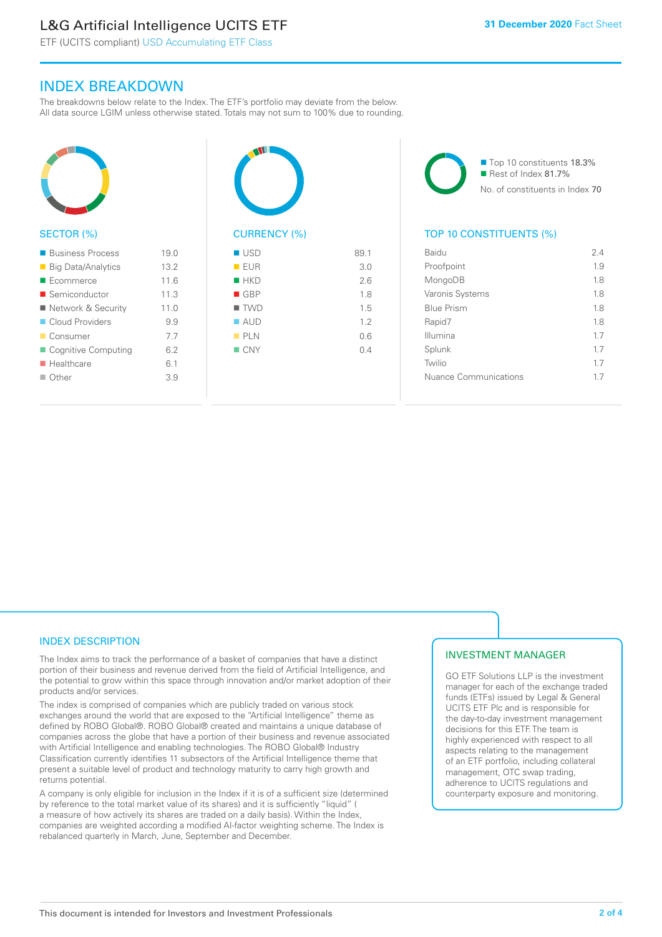# L&G Artificial Intelligence UCITS ETF

 $19.0$ 

 $11.6$ 

ETF (UCITS compliant) USD Accumulating ETF Class

### INDEX BREAKDOWN

The breakdowns below relate to the Index. The ETF's portfolio may deviate from the below. All data source LGIM unless otherwise stated. Totals may not sum to 100% due to rounding.

| <b>SECTOR (%)</b>         |      |
|---------------------------|------|
| ■ Business Process        | 19.0 |
| <b>Big Data/Analytics</b> | 13.2 |
| Ecommerce                 | 11.6 |
| ■ Semiconductor           | 11.3 |
| ■ Network & Security      | 11.0 |

| Cloud Providers           | 9.9 |
|---------------------------|-----|
| ■ Consumer                | 7.7 |
| ■ Cognitive Computing     | 6.2 |
| $\blacksquare$ Healthcare | 6.1 |
| $\blacksquare$ Other      | 3.9 |



| ■ USD              | 89.1 |
|--------------------|------|
| EUR                | 3.0  |
| HKD                | 2.6  |
| $\blacksquare$ GBP | 1.8  |
| $\blacksquare$ TWD | 1.5  |
| $\blacksquare$ AUD | 1.2  |
| PLN                | 0.6  |
| $\blacksquare$ CNY | 0.4  |
|                    |      |
|                    |      |

■ Top 10 constituents 18.3% Rest of Index 81.7% No. of constituents in Index 70

#### TOP 10 CONSTITUENTS (%)

| Baidu                 | 24  |
|-----------------------|-----|
| Proofpoint            | 1.9 |
| MongoDB               | 18  |
| Varonis Systems       | 1.8 |
| <b>Blue Prism</b>     | 1.8 |
| Rapid7                | 1.8 |
| Illumina              | 1.7 |
| Splunk                | 17  |
| Twilio                | 17  |
| Nuance Communications | 17  |
|                       |     |

#### INDEX DESCRIPTION

The Index aims to track the performance of a basket of companies that have a distinct portion of their business and revenue derived from the field of Artificial Intelligence, and the potential to grow within this space through innovation and/or market adoption of their products and/or services.

The index is comprised of companies which are publicly traded on various stock exchanges around the world that are exposed to the "Artificial Intelligence" theme as defined by ROBO Global®. ROBO Global® created and maintains a unique database of companies across the globe that have a portion of their business and revenue associated with Artificial Intelligence and enabling technologies. The ROBO Global® Industry Classification currently identifies 11 subsectors of the Artificial Intelligence theme that present a suitable level of product and technology maturity to carry high growth and returns potential.

A company is only eligible for inclusion in the Index if it is of a sufficient size (determined by reference to the total market value of its shares) and it is sufficiently "liquid" ( a measure of how actively its shares are traded on a daily basis). Within the Index, companies are weighted according a modified AI-factor weighting scheme. The Index is rebalanced quarterly in March, June, September and December.

#### INVESTMENT MANAGER

GO ETF Solutions LLP is the investment manager for each of the exchange traded funds (ETFs) issued by Legal & General UCITS ETF Plc and is responsible for the day-to-day investment management decisions for this ETF. The team is highly experienced with respect to all aspects relating to the management of an ETF portfolio, including collateral management, OTC swap trading, adherence to UCITS regulations and counterparty exposure and monitoring.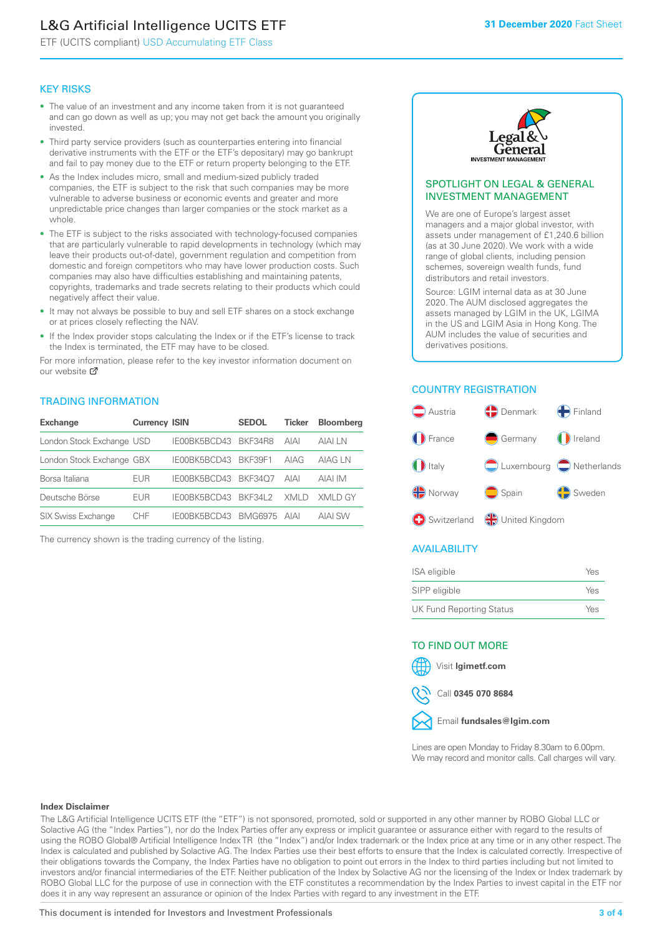# L&G Artificial Intelligence UCITS ETF

ETF (UCITS compliant) USD Accumulating ETF Class

#### KEY RISKS

- The value of an investment and any income taken from it is not guaranteed and can go down as well as up; you may not get back the amount you originally invested.
- Third party service providers (such as counterparties entering into financial derivative instruments with the ETF or the ETF's depositary) may go bankrupt and fail to pay money due to the ETF or return property belonging to the ETF.
- As the Index includes micro, small and medium-sized publicly traded companies, the ETF is subject to the risk that such companies may be more vulnerable to adverse business or economic events and greater and more unpredictable price changes than larger companies or the stock market as a whole.
- The ETF is subject to the risks associated with technology-focused companies that are particularly vulnerable to rapid developments in technology (which may leave their products out-of-date), government regulation and competition from domestic and foreign competitors who may have lower production costs. Such companies may also have difficulties establishing and maintaining patents, copyrights, trademarks and trade secrets relating to their products which could negatively affect their value.
- It may not always be possible to buy and sell ETF shares on a stock exchange or at prices closely reflecting the NAV.
- If the Index provider stops calculating the Index or if the ETF's license to track the Index is terminated, the ETF may have to be closed.

For more in[form](https://www.lgimetf.com/)ation, please refer to the key investor information document on our website Ø

#### TRADING INFORMATION

| <b>Exchange</b>           | <b>Currency ISIN</b> |              | <b>SEDOL</b>   | <b>Ticker</b> | <b>Bloomberg</b> |
|---------------------------|----------------------|--------------|----------------|---------------|------------------|
| London Stock Exchange USD |                      | IE00BK5BCD43 | BKF34R8        | <b>AIAI</b>   | AIAI I N         |
| London Stock Exchange GBX |                      | IE00BK5BCD43 | BKF39F1        | AIAG          | AIAG LN          |
| Borsa Italiana            | EUR                  | IE00BK5BCD43 | <b>BKF3407</b> | <b>AIAI</b>   | AIAI IM          |
| Deutsche Börse            | EUR                  | IFOORK5BCD43 | <b>BKF34L2</b> | XMI D         | XMI D GY         |
| SIX Swiss Exchange        | CHE                  | IE00BK5BCD43 | <b>BMG6975</b> | AIAI          | <b>AIAI SW</b>   |

The currency shown is the trading currency of the listing.



#### SPOTLIGHT ON LEGAL & GENERAL INVESTMENT MANAGEMENT

We are one of Europe's largest asset managers and a major global investor, with assets under management of £1,240.6 billion (as at 30 June 2020). We work with a wide range of global clients, including pension schemes, sovereign wealth funds, fund distributors and retail investors.

Source: LGIM internal data as at 30 June 2020. The AUM disclosed aggregates the assets managed by LGIM in the UK, LGIMA in the US and LGIM Asia in Hong Kong. The AUM includes the value of securities and derivatives positions.

#### COUNTRY REGISTRATION



#### AVAILABILITY

| ISA eligible                    | Yes |
|---------------------------------|-----|
| SIPP eligible                   | Yes |
| <b>UK Fund Reporting Status</b> | Yes |

#### TO FIND OUT MORE

Visit **lgimetf.com**





Lines are open Monday to Friday 8.30am to 6.00pm. We may record and monitor calls. Call charges will vary.

#### **Index Disclaimer**

The L&G Artificial Intelligence UCITS ETF (the "ETF") is not sponsored, promoted, sold or supported in any other manner by ROBO Global LLC or Solactive AG (the "Index Parties"), nor do the Index Parties offer any express or implicit guarantee or assurance either with regard to the results of using the ROBO Global® Artificial Intelligence Index TR (the "Index") and/or Index trademark or the Index price at any time or in any other respect. The Index is calculated and published by Solactive AG. The Index Parties use their best efforts to ensure that the Index is calculated correctly. Irrespective of their obligations towards the Company, the Index Parties have no obligation to point out errors in the Index to third parties including but not limited to investors and/or financial intermediaries of the ETF. Neither publication of the Index by Solactive AG nor the licensing of the Index or Index trademark by ROBO Global LLC for the purpose of use in connection with the ETF constitutes a recommendation by the Index Parties to invest capital in the ETF nor does it in any way represent an assurance or opinion of the Index Parties with regard to any investment in the ETF.